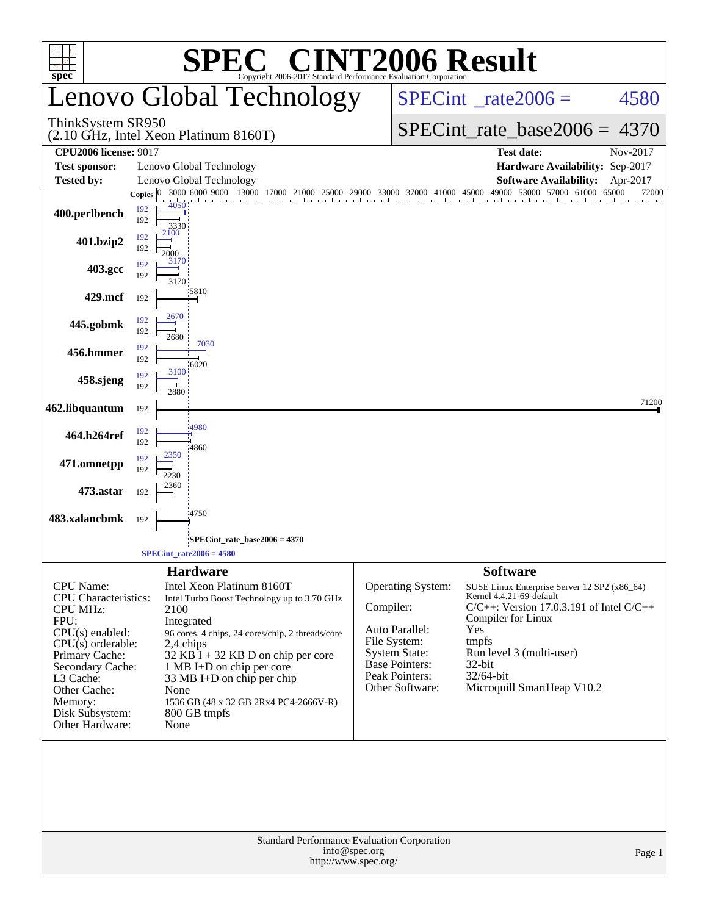| <b>SPEC<sup>®</sup> CINT2006 Result</b><br>Copyright 2006-2017 Standard Performance Evaluation Corporation<br>$spec^*$                                                                                                                     |                                                 |                                                                                                                                                                                                                                                                                                                                                                |                                                                                                                                                               |                                                                                                                                                                                                                                                                     |  |  |  |  |  |  |  |
|--------------------------------------------------------------------------------------------------------------------------------------------------------------------------------------------------------------------------------------------|-------------------------------------------------|----------------------------------------------------------------------------------------------------------------------------------------------------------------------------------------------------------------------------------------------------------------------------------------------------------------------------------------------------------------|---------------------------------------------------------------------------------------------------------------------------------------------------------------|---------------------------------------------------------------------------------------------------------------------------------------------------------------------------------------------------------------------------------------------------------------------|--|--|--|--|--|--|--|
|                                                                                                                                                                                                                                            |                                                 | Lenovo Global Technology                                                                                                                                                                                                                                                                                                                                       |                                                                                                                                                               | $SPECint^{\circ}$ <sub>_rate2006</sub> =<br>4580                                                                                                                                                                                                                    |  |  |  |  |  |  |  |
| ThinkSystem SR950                                                                                                                                                                                                                          |                                                 | $(2.10 \text{ GHz}, \text{Intel Xeon}$ Platinum 8160T)                                                                                                                                                                                                                                                                                                         |                                                                                                                                                               | $SPECint_rate_base2006 =$<br>4370                                                                                                                                                                                                                                   |  |  |  |  |  |  |  |
| <b>CPU2006 license: 9017</b>                                                                                                                                                                                                               |                                                 |                                                                                                                                                                                                                                                                                                                                                                |                                                                                                                                                               | <b>Test date:</b><br>Nov-2017                                                                                                                                                                                                                                       |  |  |  |  |  |  |  |
| <b>Test sponsor:</b>                                                                                                                                                                                                                       |                                                 | Lenovo Global Technology                                                                                                                                                                                                                                                                                                                                       |                                                                                                                                                               | Hardware Availability: Sep-2017                                                                                                                                                                                                                                     |  |  |  |  |  |  |  |
| <b>Tested by:</b>                                                                                                                                                                                                                          |                                                 | Lenovo Global Technology<br>3000 6000 9000 13000                                                                                                                                                                                                                                                                                                               |                                                                                                                                                               | <b>Software Availability:</b><br>Apr-2017<br>49000 53000 57000 61000<br>65000                                                                                                                                                                                       |  |  |  |  |  |  |  |
| 400.perlbench                                                                                                                                                                                                                              | Copies $ 0\rangle$<br>192<br>192<br>2100<br>192 | 4050<br>3330                                                                                                                                                                                                                                                                                                                                                   |                                                                                                                                                               | 17000 21000 25000 29000 33000 37000 41000 45000 49000 5300<br>72000                                                                                                                                                                                                 |  |  |  |  |  |  |  |
| 401.bzip2                                                                                                                                                                                                                                  | 192<br>2000<br>192                              | 3170                                                                                                                                                                                                                                                                                                                                                           |                                                                                                                                                               |                                                                                                                                                                                                                                                                     |  |  |  |  |  |  |  |
| 403.gcc                                                                                                                                                                                                                                    | 192                                             | 3170<br>5810                                                                                                                                                                                                                                                                                                                                                   |                                                                                                                                                               |                                                                                                                                                                                                                                                                     |  |  |  |  |  |  |  |
| 429.mcf                                                                                                                                                                                                                                    | 192                                             | 2670                                                                                                                                                                                                                                                                                                                                                           |                                                                                                                                                               |                                                                                                                                                                                                                                                                     |  |  |  |  |  |  |  |
| 445.gobmk                                                                                                                                                                                                                                  | 192<br>192                                      | 2680<br>7030                                                                                                                                                                                                                                                                                                                                                   |                                                                                                                                                               |                                                                                                                                                                                                                                                                     |  |  |  |  |  |  |  |
| 456.hmmer                                                                                                                                                                                                                                  | 192<br>192                                      | 6020<br>3100                                                                                                                                                                                                                                                                                                                                                   |                                                                                                                                                               |                                                                                                                                                                                                                                                                     |  |  |  |  |  |  |  |
| 458.sjeng                                                                                                                                                                                                                                  | 192<br>192                                      | 2880                                                                                                                                                                                                                                                                                                                                                           |                                                                                                                                                               |                                                                                                                                                                                                                                                                     |  |  |  |  |  |  |  |
| 462.libquantum                                                                                                                                                                                                                             | 192                                             | 4980                                                                                                                                                                                                                                                                                                                                                           |                                                                                                                                                               | 71200                                                                                                                                                                                                                                                               |  |  |  |  |  |  |  |
| 464.h264ref                                                                                                                                                                                                                                | 192<br>192                                      | 4860                                                                                                                                                                                                                                                                                                                                                           |                                                                                                                                                               |                                                                                                                                                                                                                                                                     |  |  |  |  |  |  |  |
| 471.omnetpp                                                                                                                                                                                                                                | 192<br>192                                      | 2350<br>2230                                                                                                                                                                                                                                                                                                                                                   |                                                                                                                                                               |                                                                                                                                                                                                                                                                     |  |  |  |  |  |  |  |
| 473.astar                                                                                                                                                                                                                                  | 192                                             | 2360                                                                                                                                                                                                                                                                                                                                                           |                                                                                                                                                               |                                                                                                                                                                                                                                                                     |  |  |  |  |  |  |  |
| 483.xalancbmk                                                                                                                                                                                                                              | 192                                             | 4750                                                                                                                                                                                                                                                                                                                                                           |                                                                                                                                                               |                                                                                                                                                                                                                                                                     |  |  |  |  |  |  |  |
|                                                                                                                                                                                                                                            |                                                 | SPECint_rate_base2006 = 4370<br>$SPECint\_rate2006 = 4580$                                                                                                                                                                                                                                                                                                     |                                                                                                                                                               |                                                                                                                                                                                                                                                                     |  |  |  |  |  |  |  |
| <b>CPU</b> Name:<br><b>CPU</b> Characteristics:<br><b>CPU MHz:</b><br>FPU:<br>$CPU(s)$ enabled:<br>$CPU(s)$ orderable:<br>Primary Cache:<br>Secondary Cache:<br>L3 Cache:<br>Other Cache:<br>Memory:<br>Disk Subsystem:<br>Other Hardware: |                                                 | <b>Hardware</b><br>Intel Xeon Platinum 8160T<br>Intel Turbo Boost Technology up to 3.70 GHz<br>2100<br>Integrated<br>96 cores, 4 chips, 24 cores/chip, 2 threads/core<br>2,4 chips<br>$32$ KB I + 32 KB D on chip per core<br>1 MB I+D on chip per core<br>33 MB I+D on chip per chip<br>None<br>1536 GB (48 x 32 GB 2Rx4 PC4-2666V-R)<br>800 GB tmpfs<br>None | <b>Operating System:</b><br>Compiler:<br>Auto Parallel:<br>File System:<br><b>System State:</b><br><b>Base Pointers:</b><br>Peak Pointers:<br>Other Software: | <b>Software</b><br>SUSE Linux Enterprise Server 12 SP2 (x86_64)<br>Kernel 4.4.21-69-default<br>$C/C++$ : Version 17.0.3.191 of Intel $C/C++$<br>Compiler for Linux<br>Yes<br>tmpfs<br>Run level 3 (multi-user)<br>32-bit<br>32/64-bit<br>Microquill SmartHeap V10.2 |  |  |  |  |  |  |  |
|                                                                                                                                                                                                                                            |                                                 | Standard Performance Evaluation Corporation<br>info@spec.org                                                                                                                                                                                                                                                                                                   | http://www.spec.org/                                                                                                                                          | Page 1                                                                                                                                                                                                                                                              |  |  |  |  |  |  |  |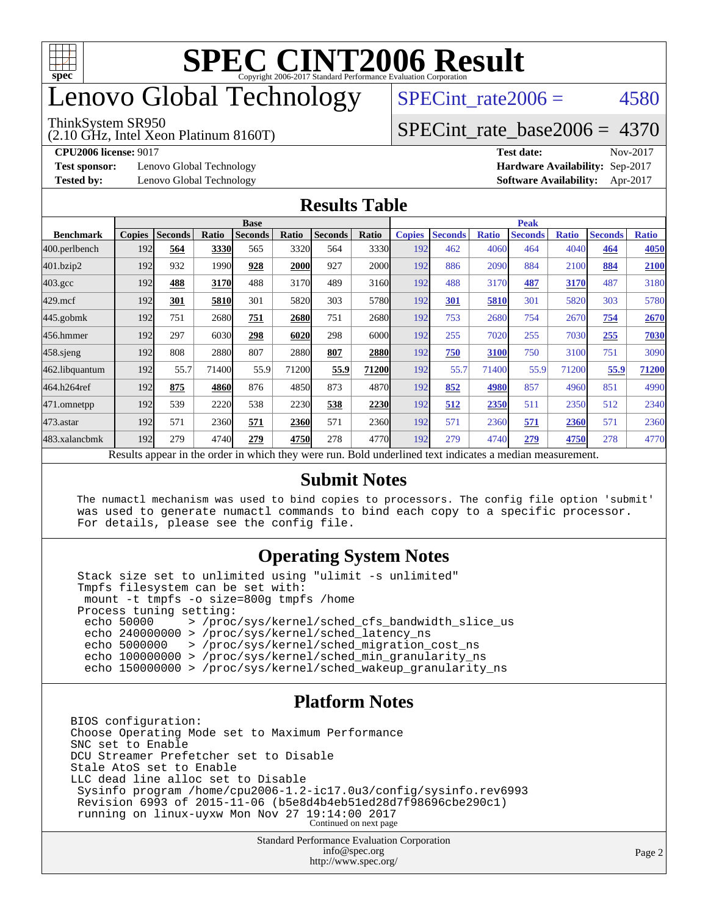

# enovo Global Technology

#### ThinkSystem SR950

(2.10 GHz, Intel Xeon Platinum 8160T)

SPECint rate $2006 = 4580$ 

### [SPECint\\_rate\\_base2006 =](http://www.spec.org/auto/cpu2006/Docs/result-fields.html#SPECintratebase2006) 4370

**[CPU2006 license:](http://www.spec.org/auto/cpu2006/Docs/result-fields.html#CPU2006license)** 9017 **[Test date:](http://www.spec.org/auto/cpu2006/Docs/result-fields.html#Testdate)** Nov-2017

**[Test sponsor:](http://www.spec.org/auto/cpu2006/Docs/result-fields.html#Testsponsor)** Lenovo Global Technology **[Hardware Availability:](http://www.spec.org/auto/cpu2006/Docs/result-fields.html#HardwareAvailability)** Sep-2017

**[Tested by:](http://www.spec.org/auto/cpu2006/Docs/result-fields.html#Testedby)** Lenovo Global Technology **[Software Availability:](http://www.spec.org/auto/cpu2006/Docs/result-fields.html#SoftwareAvailability)** Apr-2017

#### **[Results Table](http://www.spec.org/auto/cpu2006/Docs/result-fields.html#ResultsTable)**

|                                                                                                          | <b>Base</b>   |                |       |                |       |                |              | <b>Peak</b>   |                |              |                |              |                |              |
|----------------------------------------------------------------------------------------------------------|---------------|----------------|-------|----------------|-------|----------------|--------------|---------------|----------------|--------------|----------------|--------------|----------------|--------------|
| <b>Benchmark</b>                                                                                         | <b>Copies</b> | <b>Seconds</b> | Ratio | <b>Seconds</b> | Ratio | <b>Seconds</b> | Ratio        | <b>Copies</b> | <b>Seconds</b> | <b>Ratio</b> | <b>Seconds</b> | <b>Ratio</b> | <b>Seconds</b> | <b>Ratio</b> |
| 400.perlbench                                                                                            | 192           | 564            | 3330  | 565            | 3320  | 564            | 3330         | 192           | 462            | 4060         | 464            | 4040         | 464            | 4050         |
| 401.bzip2                                                                                                | 192           | 932            | 1990  | 928            | 2000  | 927            | <b>2000</b>  | 192           | 886            | 2090         | 884            | 2100         | 884            | 2100         |
| $403.\mathrm{gcc}$                                                                                       | 192           | 488            | 3170  | 488            | 3170  | 489            | 3160         | 192           | 488            | 3170         | 487            | 3170         | 487            | 3180         |
| $429$ .mcf                                                                                               | 192           | 301            | 5810  | 301            | 5820  | 303            | 5780         | 192           | 301            | 5810         | 301            | 5820         | 303            | 5780         |
| $445$ .gobmk                                                                                             | 192           | 751            | 2680  | 751            | 2680  | 751            | 2680         | 192           | 753            | 2680         | 754            | 2670         | 754            | 2670         |
| 456.hmmer                                                                                                | 192           | 297            | 6030  | 298            | 6020  | 298            | 6000l        | 192           | 255            | 7020         | 255            | 7030         | 255            | 7030         |
| $458$ .sjeng                                                                                             | 192           | 808            | 2880  | 807            | 2880  | 807            | <b>2880</b>  | 192           | 750            | 3100         | 750            | 3100         | 751            | 3090         |
| 462.libquantum                                                                                           | 192           | 55.7           | 71400 | 55.9           | 71200 | 55.9           | <b>71200</b> | 192           | 55.7           | 71400        | 55.9           | 71200        | 55.9           | 71200        |
| 464.h264ref                                                                                              | 192           | 875            | 4860  | 876            | 4850  | 873            | 4870         | 192           | 852            | 4980         | 857            | 4960         | 851            | 4990         |
| 471.omnetpp                                                                                              | 192           | 539            | 2220  | 538            | 2230  | 538            | 2230         | 192           | 512            | 2350         | 511            | 2350         | 512            | 2340         |
| $473$ . astar                                                                                            | 192           | 571            | 2360  | 571            | 2360  | 571            | 2360         | 192           | 571            | 2360         | 571            | 2360         | 571            | 2360         |
| 483.xalancbmk                                                                                            | 192           | 279            | 4740  | 279            | 4750  | 278            | 4770         | 192           | 279            | 4740         | 279            | 4750         | 278            | 4770         |
| Results appear in the order in which they were run. Bold underlined text indicates a median measurement. |               |                |       |                |       |                |              |               |                |              |                |              |                |              |

#### **[Submit Notes](http://www.spec.org/auto/cpu2006/Docs/result-fields.html#SubmitNotes)**

 The numactl mechanism was used to bind copies to processors. The config file option 'submit' was used to generate numactl commands to bind each copy to a specific processor. For details, please see the config file.

### **[Operating System Notes](http://www.spec.org/auto/cpu2006/Docs/result-fields.html#OperatingSystemNotes)**

 Stack size set to unlimited using "ulimit -s unlimited" Tmpfs filesystem can be set with: mount -t tmpfs -o size=800g tmpfs /home Process tuning setting:<br>echo 50000 > /proc echo 50000 > /proc/sys/kernel/sched\_cfs\_bandwidth\_slice\_us echo 240000000 > /proc/sys/kernel/sched\_latency\_ns echo 5000000 > /proc/sys/kernel/sched\_migration\_cost\_ns echo 100000000 > /proc/sys/kernel/sched\_min\_granularity\_ns echo 150000000 > /proc/sys/kernel/sched\_wakeup\_granularity\_ns

#### **[Platform Notes](http://www.spec.org/auto/cpu2006/Docs/result-fields.html#PlatformNotes)**

BIOS configuration: Choose Operating Mode set to Maximum Performance SNC set to Enable DCU Streamer Prefetcher set to Disable Stale AtoS set to Enable LLC dead line alloc set to Disable Sysinfo program /home/cpu2006-1.2-ic17.0u3/config/sysinfo.rev6993 Revision 6993 of 2015-11-06 (b5e8d4b4eb51ed28d7f98696cbe290c1) running on linux-uyxw Mon Nov 27 19:14:00 2017 Continued on next page

> Standard Performance Evaluation Corporation [info@spec.org](mailto:info@spec.org) <http://www.spec.org/>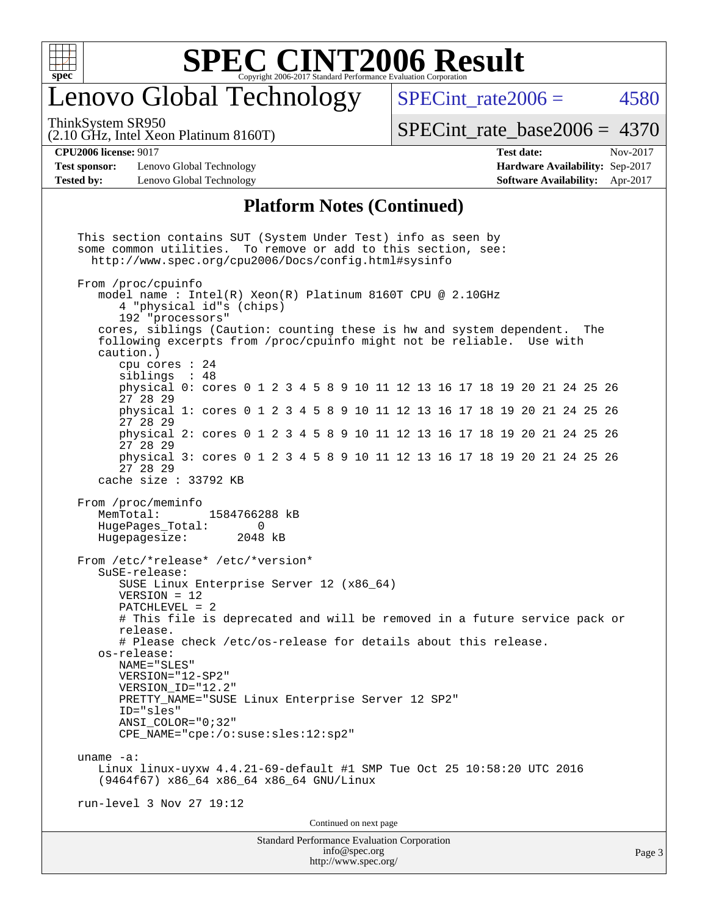

# enovo Global Technology

SPECint rate $2006 = 4580$ 

ThinkSystem SR950

(2.10 GHz, Intel Xeon Platinum 8160T)

[SPECint\\_rate\\_base2006 =](http://www.spec.org/auto/cpu2006/Docs/result-fields.html#SPECintratebase2006) 4370

**[Test sponsor:](http://www.spec.org/auto/cpu2006/Docs/result-fields.html#Testsponsor)** Lenovo Global Technology **[Hardware Availability:](http://www.spec.org/auto/cpu2006/Docs/result-fields.html#HardwareAvailability)** Sep-2017 **[Tested by:](http://www.spec.org/auto/cpu2006/Docs/result-fields.html#Testedby)** Lenovo Global Technology **[Software Availability:](http://www.spec.org/auto/cpu2006/Docs/result-fields.html#SoftwareAvailability)** Apr-2017

**[CPU2006 license:](http://www.spec.org/auto/cpu2006/Docs/result-fields.html#CPU2006license)** 9017 **[Test date:](http://www.spec.org/auto/cpu2006/Docs/result-fields.html#Testdate)** Nov-2017

#### **[Platform Notes \(Continued\)](http://www.spec.org/auto/cpu2006/Docs/result-fields.html#PlatformNotes)**

Standard Performance Evaluation Corporation [info@spec.org](mailto:info@spec.org) Page 3 This section contains SUT (System Under Test) info as seen by some common utilities. To remove or add to this section, see: <http://www.spec.org/cpu2006/Docs/config.html#sysinfo> From /proc/cpuinfo model name : Intel(R) Xeon(R) Platinum 8160T CPU @ 2.10GHz 4 "physical id"s (chips) 192 "processors" cores, siblings (Caution: counting these is hw and system dependent. The following excerpts from /proc/cpuinfo might not be reliable. Use with caution.) cpu cores : 24 siblings : 48 physical 0: cores 0 1 2 3 4 5 8 9 10 11 12 13 16 17 18 19 20 21 24 25 26 27 28 29 physical 1: cores 0 1 2 3 4 5 8 9 10 11 12 13 16 17 18 19 20 21 24 25 26 27 28 29 physical 2: cores 0 1 2 3 4 5 8 9 10 11 12 13 16 17 18 19 20 21 24 25 26 27 28 29 physical 3: cores 0 1 2 3 4 5 8 9 10 11 12 13 16 17 18 19 20 21 24 25 26 27 28 29 cache size : 33792 KB From /proc/meminfo<br>MemTotal: 1584766288 kB HugePages\_Total: 0<br>Hugepagesize: 2048 kB Hugepagesize: From /etc/\*release\* /etc/\*version\* SuSE-release: SUSE Linux Enterprise Server 12 (x86\_64) VERSION = 12 PATCHLEVEL = 2 # This file is deprecated and will be removed in a future service pack or release. # Please check /etc/os-release for details about this release. os-release: NAME="SLES" VERSION="12-SP2" VERSION\_ID="12.2" PRETTY\_NAME="SUSE Linux Enterprise Server 12 SP2" ID="sles" ANSI\_COLOR="0;32" CPE\_NAME="cpe:/o:suse:sles:12:sp2" uname -a: Linux linux-uyxw 4.4.21-69-default #1 SMP Tue Oct 25 10:58:20 UTC 2016 (9464f67) x86\_64 x86\_64 x86\_64 GNU/Linux run-level 3 Nov 27 19:12 Continued on next page

<http://www.spec.org/>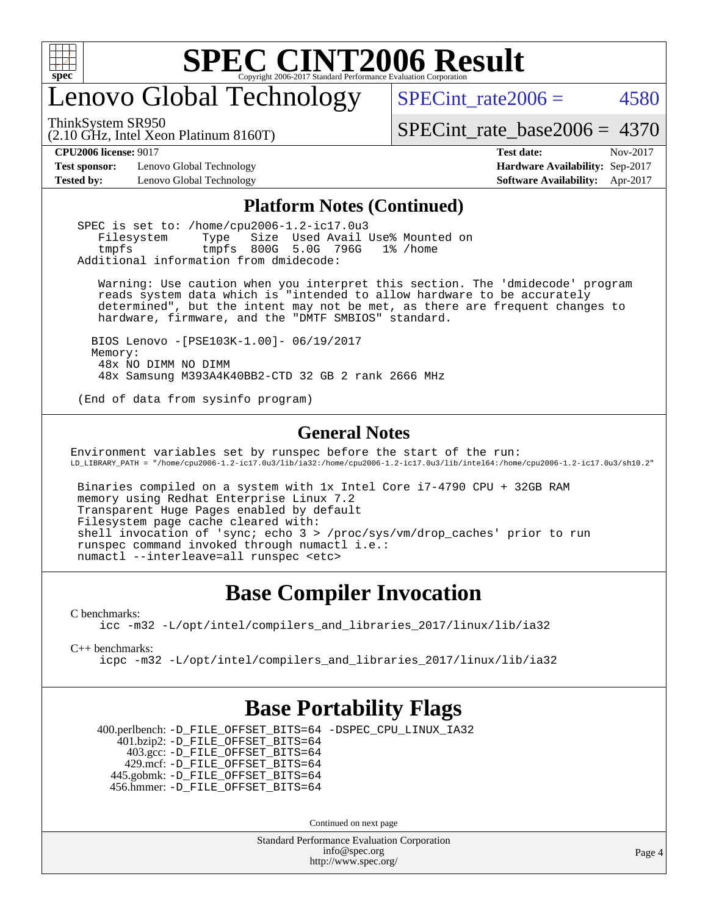

# enovo Global Technology

ThinkSystem SR950

SPECint rate $2006 = 4580$ 

[SPECint\\_rate\\_base2006 =](http://www.spec.org/auto/cpu2006/Docs/result-fields.html#SPECintratebase2006) 4370

(2.10 GHz, Intel Xeon Platinum 8160T)

**[Test sponsor:](http://www.spec.org/auto/cpu2006/Docs/result-fields.html#Testsponsor)** Lenovo Global Technology **[Hardware Availability:](http://www.spec.org/auto/cpu2006/Docs/result-fields.html#HardwareAvailability)** Sep-2017

**[CPU2006 license:](http://www.spec.org/auto/cpu2006/Docs/result-fields.html#CPU2006license)** 9017 **[Test date:](http://www.spec.org/auto/cpu2006/Docs/result-fields.html#Testdate)** Nov-2017 **[Tested by:](http://www.spec.org/auto/cpu2006/Docs/result-fields.html#Testedby)** Lenovo Global Technology **[Software Availability:](http://www.spec.org/auto/cpu2006/Docs/result-fields.html#SoftwareAvailability)** Apr-2017

#### **[Platform Notes \(Continued\)](http://www.spec.org/auto/cpu2006/Docs/result-fields.html#PlatformNotes)**

 SPEC is set to: /home/cpu2006-1.2-ic17.0u3 Filesystem Type Size Used Avail Use% Mounted on tmpfs tmpfs 800G 5.0G 796G 1% /home Additional information from dmidecode:

 Warning: Use caution when you interpret this section. The 'dmidecode' program reads system data which is "intended to allow hardware to be accurately determined", but the intent may not be met, as there are frequent changes to hardware, firmware, and the "DMTF SMBIOS" standard.

 BIOS Lenovo -[PSE103K-1.00]- 06/19/2017 Memory: 48x NO DIMM NO DIMM 48x Samsung M393A4K40BB2-CTD 32 GB 2 rank 2666 MHz

(End of data from sysinfo program)

#### **[General Notes](http://www.spec.org/auto/cpu2006/Docs/result-fields.html#GeneralNotes)**

Environment variables set by runspec before the start of the run: LD\_LIBRARY\_PATH = "/home/cpu2006-1.2-ic17.0u3/lib/ia32:/home/cpu2006-1.2-ic17.0u3/lib/intel64:/home/cpu2006-1.2-ic17.0u3/sh10.2"

 Binaries compiled on a system with 1x Intel Core i7-4790 CPU + 32GB RAM memory using Redhat Enterprise Linux 7.2 Transparent Huge Pages enabled by default Filesystem page cache cleared with: shell invocation of 'sync; echo 3 > /proc/sys/vm/drop\_caches' prior to run runspec command invoked through numactl i.e.: numactl --interleave=all runspec <etc>

### **[Base Compiler Invocation](http://www.spec.org/auto/cpu2006/Docs/result-fields.html#BaseCompilerInvocation)**

[C benchmarks](http://www.spec.org/auto/cpu2006/Docs/result-fields.html#Cbenchmarks):

[icc -m32 -L/opt/intel/compilers\\_and\\_libraries\\_2017/linux/lib/ia32](http://www.spec.org/cpu2006/results/res2017q4/cpu2006-20171211-51054.flags.html#user_CCbase_intel_icc_c29f3ff5a7ed067b11e4ec10a03f03ae)

[C++ benchmarks:](http://www.spec.org/auto/cpu2006/Docs/result-fields.html#CXXbenchmarks)

[icpc -m32 -L/opt/intel/compilers\\_and\\_libraries\\_2017/linux/lib/ia32](http://www.spec.org/cpu2006/results/res2017q4/cpu2006-20171211-51054.flags.html#user_CXXbase_intel_icpc_8c35c7808b62dab9ae41a1aa06361b6b)

### **[Base Portability Flags](http://www.spec.org/auto/cpu2006/Docs/result-fields.html#BasePortabilityFlags)**

 400.perlbench: [-D\\_FILE\\_OFFSET\\_BITS=64](http://www.spec.org/cpu2006/results/res2017q4/cpu2006-20171211-51054.flags.html#user_basePORTABILITY400_perlbench_file_offset_bits_64_438cf9856305ebd76870a2c6dc2689ab) [-DSPEC\\_CPU\\_LINUX\\_IA32](http://www.spec.org/cpu2006/results/res2017q4/cpu2006-20171211-51054.flags.html#b400.perlbench_baseCPORTABILITY_DSPEC_CPU_LINUX_IA32) 401.bzip2: [-D\\_FILE\\_OFFSET\\_BITS=64](http://www.spec.org/cpu2006/results/res2017q4/cpu2006-20171211-51054.flags.html#user_basePORTABILITY401_bzip2_file_offset_bits_64_438cf9856305ebd76870a2c6dc2689ab) 403.gcc: [-D\\_FILE\\_OFFSET\\_BITS=64](http://www.spec.org/cpu2006/results/res2017q4/cpu2006-20171211-51054.flags.html#user_basePORTABILITY403_gcc_file_offset_bits_64_438cf9856305ebd76870a2c6dc2689ab) 429.mcf: [-D\\_FILE\\_OFFSET\\_BITS=64](http://www.spec.org/cpu2006/results/res2017q4/cpu2006-20171211-51054.flags.html#user_basePORTABILITY429_mcf_file_offset_bits_64_438cf9856305ebd76870a2c6dc2689ab) 445.gobmk: [-D\\_FILE\\_OFFSET\\_BITS=64](http://www.spec.org/cpu2006/results/res2017q4/cpu2006-20171211-51054.flags.html#user_basePORTABILITY445_gobmk_file_offset_bits_64_438cf9856305ebd76870a2c6dc2689ab) 456.hmmer: [-D\\_FILE\\_OFFSET\\_BITS=64](http://www.spec.org/cpu2006/results/res2017q4/cpu2006-20171211-51054.flags.html#user_basePORTABILITY456_hmmer_file_offset_bits_64_438cf9856305ebd76870a2c6dc2689ab)

Continued on next page

Standard Performance Evaluation Corporation [info@spec.org](mailto:info@spec.org) <http://www.spec.org/>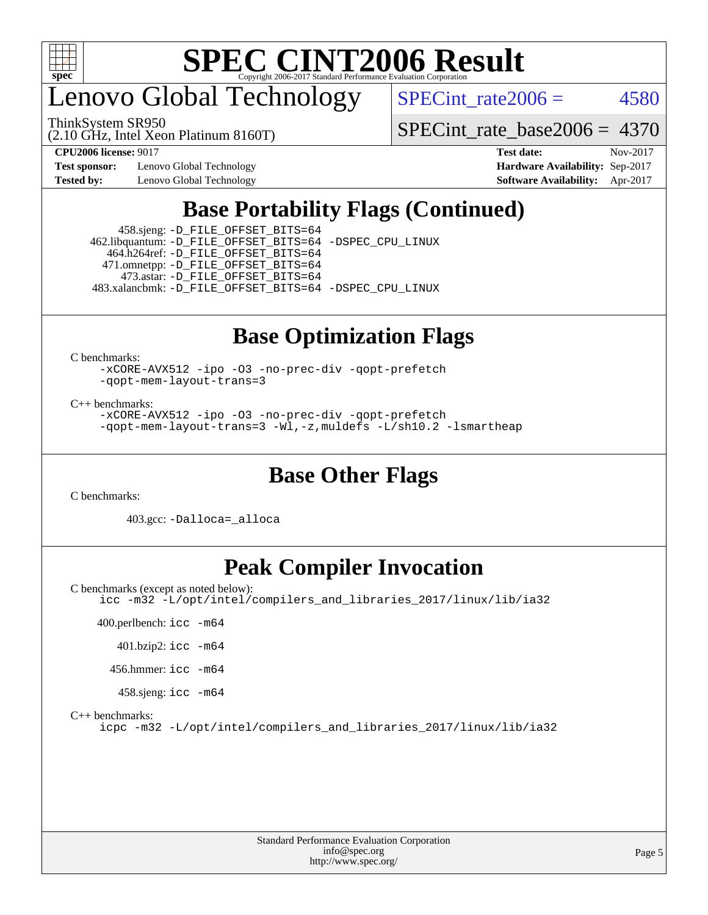

enovo Global Technology

(2.10 GHz, Intel Xeon Platinum 8160T) ThinkSystem SR950

SPECint rate $2006 = 4580$ 

[SPECint\\_rate\\_base2006 =](http://www.spec.org/auto/cpu2006/Docs/result-fields.html#SPECintratebase2006) 4370

**[Test sponsor:](http://www.spec.org/auto/cpu2006/Docs/result-fields.html#Testsponsor)** Lenovo Global Technology **[Hardware Availability:](http://www.spec.org/auto/cpu2006/Docs/result-fields.html#HardwareAvailability)** Sep-2017

**[CPU2006 license:](http://www.spec.org/auto/cpu2006/Docs/result-fields.html#CPU2006license)** 9017 **[Test date:](http://www.spec.org/auto/cpu2006/Docs/result-fields.html#Testdate)** Nov-2017 **[Tested by:](http://www.spec.org/auto/cpu2006/Docs/result-fields.html#Testedby)** Lenovo Global Technology **[Software Availability:](http://www.spec.org/auto/cpu2006/Docs/result-fields.html#SoftwareAvailability)** Apr-2017

# **[Base Portability Flags \(Continued\)](http://www.spec.org/auto/cpu2006/Docs/result-fields.html#BasePortabilityFlags)**

 458.sjeng: [-D\\_FILE\\_OFFSET\\_BITS=64](http://www.spec.org/cpu2006/results/res2017q4/cpu2006-20171211-51054.flags.html#user_basePORTABILITY458_sjeng_file_offset_bits_64_438cf9856305ebd76870a2c6dc2689ab) 462.libquantum: [-D\\_FILE\\_OFFSET\\_BITS=64](http://www.spec.org/cpu2006/results/res2017q4/cpu2006-20171211-51054.flags.html#user_basePORTABILITY462_libquantum_file_offset_bits_64_438cf9856305ebd76870a2c6dc2689ab) [-DSPEC\\_CPU\\_LINUX](http://www.spec.org/cpu2006/results/res2017q4/cpu2006-20171211-51054.flags.html#b462.libquantum_baseCPORTABILITY_DSPEC_CPU_LINUX) 464.h264ref: [-D\\_FILE\\_OFFSET\\_BITS=64](http://www.spec.org/cpu2006/results/res2017q4/cpu2006-20171211-51054.flags.html#user_basePORTABILITY464_h264ref_file_offset_bits_64_438cf9856305ebd76870a2c6dc2689ab) 471.omnetpp: [-D\\_FILE\\_OFFSET\\_BITS=64](http://www.spec.org/cpu2006/results/res2017q4/cpu2006-20171211-51054.flags.html#user_basePORTABILITY471_omnetpp_file_offset_bits_64_438cf9856305ebd76870a2c6dc2689ab) 473.astar: [-D\\_FILE\\_OFFSET\\_BITS=64](http://www.spec.org/cpu2006/results/res2017q4/cpu2006-20171211-51054.flags.html#user_basePORTABILITY473_astar_file_offset_bits_64_438cf9856305ebd76870a2c6dc2689ab) 483.xalancbmk: [-D\\_FILE\\_OFFSET\\_BITS=64](http://www.spec.org/cpu2006/results/res2017q4/cpu2006-20171211-51054.flags.html#user_basePORTABILITY483_xalancbmk_file_offset_bits_64_438cf9856305ebd76870a2c6dc2689ab) [-DSPEC\\_CPU\\_LINUX](http://www.spec.org/cpu2006/results/res2017q4/cpu2006-20171211-51054.flags.html#b483.xalancbmk_baseCXXPORTABILITY_DSPEC_CPU_LINUX)

# **[Base Optimization Flags](http://www.spec.org/auto/cpu2006/Docs/result-fields.html#BaseOptimizationFlags)**

[C benchmarks](http://www.spec.org/auto/cpu2006/Docs/result-fields.html#Cbenchmarks):

[-xCORE-AVX512](http://www.spec.org/cpu2006/results/res2017q4/cpu2006-20171211-51054.flags.html#user_CCbase_f-xCORE-AVX512) [-ipo](http://www.spec.org/cpu2006/results/res2017q4/cpu2006-20171211-51054.flags.html#user_CCbase_f-ipo) [-O3](http://www.spec.org/cpu2006/results/res2017q4/cpu2006-20171211-51054.flags.html#user_CCbase_f-O3) [-no-prec-div](http://www.spec.org/cpu2006/results/res2017q4/cpu2006-20171211-51054.flags.html#user_CCbase_f-no-prec-div) [-qopt-prefetch](http://www.spec.org/cpu2006/results/res2017q4/cpu2006-20171211-51054.flags.html#user_CCbase_f-qopt-prefetch) [-qopt-mem-layout-trans=3](http://www.spec.org/cpu2006/results/res2017q4/cpu2006-20171211-51054.flags.html#user_CCbase_f-qopt-mem-layout-trans_170f5be61cd2cedc9b54468c59262d5d)

[C++ benchmarks:](http://www.spec.org/auto/cpu2006/Docs/result-fields.html#CXXbenchmarks)

[-xCORE-AVX512](http://www.spec.org/cpu2006/results/res2017q4/cpu2006-20171211-51054.flags.html#user_CXXbase_f-xCORE-AVX512) [-ipo](http://www.spec.org/cpu2006/results/res2017q4/cpu2006-20171211-51054.flags.html#user_CXXbase_f-ipo) [-O3](http://www.spec.org/cpu2006/results/res2017q4/cpu2006-20171211-51054.flags.html#user_CXXbase_f-O3) [-no-prec-div](http://www.spec.org/cpu2006/results/res2017q4/cpu2006-20171211-51054.flags.html#user_CXXbase_f-no-prec-div) [-qopt-prefetch](http://www.spec.org/cpu2006/results/res2017q4/cpu2006-20171211-51054.flags.html#user_CXXbase_f-qopt-prefetch) [-qopt-mem-layout-trans=3](http://www.spec.org/cpu2006/results/res2017q4/cpu2006-20171211-51054.flags.html#user_CXXbase_f-qopt-mem-layout-trans_170f5be61cd2cedc9b54468c59262d5d) [-Wl,-z,muldefs](http://www.spec.org/cpu2006/results/res2017q4/cpu2006-20171211-51054.flags.html#user_CXXbase_link_force_multiple1_74079c344b956b9658436fd1b6dd3a8a) [-L/sh10.2 -lsmartheap](http://www.spec.org/cpu2006/results/res2017q4/cpu2006-20171211-51054.flags.html#user_CXXbase_SmartHeap_b831f2d313e2fffa6dfe3f00ffc1f1c0)

### **[Base Other Flags](http://www.spec.org/auto/cpu2006/Docs/result-fields.html#BaseOtherFlags)**

[C benchmarks](http://www.spec.org/auto/cpu2006/Docs/result-fields.html#Cbenchmarks):

403.gcc: [-Dalloca=\\_alloca](http://www.spec.org/cpu2006/results/res2017q4/cpu2006-20171211-51054.flags.html#b403.gcc_baseEXTRA_CFLAGS_Dalloca_be3056838c12de2578596ca5467af7f3)

# **[Peak Compiler Invocation](http://www.spec.org/auto/cpu2006/Docs/result-fields.html#PeakCompilerInvocation)**

[C benchmarks \(except as noted below\)](http://www.spec.org/auto/cpu2006/Docs/result-fields.html#Cbenchmarksexceptasnotedbelow): [icc -m32 -L/opt/intel/compilers\\_and\\_libraries\\_2017/linux/lib/ia32](http://www.spec.org/cpu2006/results/res2017q4/cpu2006-20171211-51054.flags.html#user_CCpeak_intel_icc_c29f3ff5a7ed067b11e4ec10a03f03ae)

 400.perlbench: [icc -m64](http://www.spec.org/cpu2006/results/res2017q4/cpu2006-20171211-51054.flags.html#user_peakCCLD400_perlbench_intel_icc_64bit_bda6cc9af1fdbb0edc3795bac97ada53) 401.bzip2: [icc -m64](http://www.spec.org/cpu2006/results/res2017q4/cpu2006-20171211-51054.flags.html#user_peakCCLD401_bzip2_intel_icc_64bit_bda6cc9af1fdbb0edc3795bac97ada53) 456.hmmer: [icc -m64](http://www.spec.org/cpu2006/results/res2017q4/cpu2006-20171211-51054.flags.html#user_peakCCLD456_hmmer_intel_icc_64bit_bda6cc9af1fdbb0edc3795bac97ada53) 458.sjeng: [icc -m64](http://www.spec.org/cpu2006/results/res2017q4/cpu2006-20171211-51054.flags.html#user_peakCCLD458_sjeng_intel_icc_64bit_bda6cc9af1fdbb0edc3795bac97ada53)

[C++ benchmarks:](http://www.spec.org/auto/cpu2006/Docs/result-fields.html#CXXbenchmarks)

[icpc -m32 -L/opt/intel/compilers\\_and\\_libraries\\_2017/linux/lib/ia32](http://www.spec.org/cpu2006/results/res2017q4/cpu2006-20171211-51054.flags.html#user_CXXpeak_intel_icpc_8c35c7808b62dab9ae41a1aa06361b6b)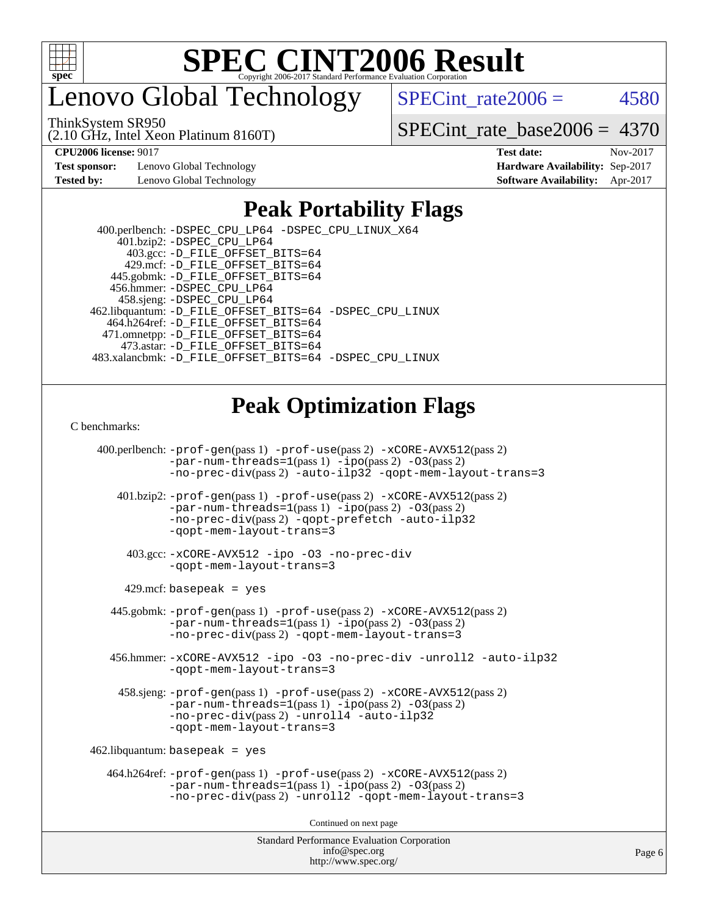

enovo Global Technology

ThinkSystem SR950

(2.10 GHz, Intel Xeon Platinum 8160T)

SPECint rate $2006 = 4580$ 

[SPECint\\_rate\\_base2006 =](http://www.spec.org/auto/cpu2006/Docs/result-fields.html#SPECintratebase2006) 4370

**[Test sponsor:](http://www.spec.org/auto/cpu2006/Docs/result-fields.html#Testsponsor)** Lenovo Global Technology **[Hardware Availability:](http://www.spec.org/auto/cpu2006/Docs/result-fields.html#HardwareAvailability)** Sep-2017

**[CPU2006 license:](http://www.spec.org/auto/cpu2006/Docs/result-fields.html#CPU2006license)** 9017 **[Test date:](http://www.spec.org/auto/cpu2006/Docs/result-fields.html#Testdate)** Nov-2017 **[Tested by:](http://www.spec.org/auto/cpu2006/Docs/result-fields.html#Testedby)** Lenovo Global Technology **[Software Availability:](http://www.spec.org/auto/cpu2006/Docs/result-fields.html#SoftwareAvailability)** Apr-2017

# **[Peak Portability Flags](http://www.spec.org/auto/cpu2006/Docs/result-fields.html#PeakPortabilityFlags)**

 400.perlbench: [-DSPEC\\_CPU\\_LP64](http://www.spec.org/cpu2006/results/res2017q4/cpu2006-20171211-51054.flags.html#b400.perlbench_peakCPORTABILITY_DSPEC_CPU_LP64) [-DSPEC\\_CPU\\_LINUX\\_X64](http://www.spec.org/cpu2006/results/res2017q4/cpu2006-20171211-51054.flags.html#b400.perlbench_peakCPORTABILITY_DSPEC_CPU_LINUX_X64) 401.bzip2: [-DSPEC\\_CPU\\_LP64](http://www.spec.org/cpu2006/results/res2017q4/cpu2006-20171211-51054.flags.html#suite_peakCPORTABILITY401_bzip2_DSPEC_CPU_LP64) 403.gcc: [-D\\_FILE\\_OFFSET\\_BITS=64](http://www.spec.org/cpu2006/results/res2017q4/cpu2006-20171211-51054.flags.html#user_peakPORTABILITY403_gcc_file_offset_bits_64_438cf9856305ebd76870a2c6dc2689ab) 429.mcf: [-D\\_FILE\\_OFFSET\\_BITS=64](http://www.spec.org/cpu2006/results/res2017q4/cpu2006-20171211-51054.flags.html#user_peakPORTABILITY429_mcf_file_offset_bits_64_438cf9856305ebd76870a2c6dc2689ab) 445.gobmk: [-D\\_FILE\\_OFFSET\\_BITS=64](http://www.spec.org/cpu2006/results/res2017q4/cpu2006-20171211-51054.flags.html#user_peakPORTABILITY445_gobmk_file_offset_bits_64_438cf9856305ebd76870a2c6dc2689ab) 456.hmmer: [-DSPEC\\_CPU\\_LP64](http://www.spec.org/cpu2006/results/res2017q4/cpu2006-20171211-51054.flags.html#suite_peakCPORTABILITY456_hmmer_DSPEC_CPU_LP64) 458.sjeng: [-DSPEC\\_CPU\\_LP64](http://www.spec.org/cpu2006/results/res2017q4/cpu2006-20171211-51054.flags.html#suite_peakCPORTABILITY458_sjeng_DSPEC_CPU_LP64) 462.libquantum: [-D\\_FILE\\_OFFSET\\_BITS=64](http://www.spec.org/cpu2006/results/res2017q4/cpu2006-20171211-51054.flags.html#user_peakPORTABILITY462_libquantum_file_offset_bits_64_438cf9856305ebd76870a2c6dc2689ab) [-DSPEC\\_CPU\\_LINUX](http://www.spec.org/cpu2006/results/res2017q4/cpu2006-20171211-51054.flags.html#b462.libquantum_peakCPORTABILITY_DSPEC_CPU_LINUX) 464.h264ref: [-D\\_FILE\\_OFFSET\\_BITS=64](http://www.spec.org/cpu2006/results/res2017q4/cpu2006-20171211-51054.flags.html#user_peakPORTABILITY464_h264ref_file_offset_bits_64_438cf9856305ebd76870a2c6dc2689ab) 471.omnetpp: [-D\\_FILE\\_OFFSET\\_BITS=64](http://www.spec.org/cpu2006/results/res2017q4/cpu2006-20171211-51054.flags.html#user_peakPORTABILITY471_omnetpp_file_offset_bits_64_438cf9856305ebd76870a2c6dc2689ab) 473.astar: [-D\\_FILE\\_OFFSET\\_BITS=64](http://www.spec.org/cpu2006/results/res2017q4/cpu2006-20171211-51054.flags.html#user_peakPORTABILITY473_astar_file_offset_bits_64_438cf9856305ebd76870a2c6dc2689ab) 483.xalancbmk: [-D\\_FILE\\_OFFSET\\_BITS=64](http://www.spec.org/cpu2006/results/res2017q4/cpu2006-20171211-51054.flags.html#user_peakPORTABILITY483_xalancbmk_file_offset_bits_64_438cf9856305ebd76870a2c6dc2689ab) [-DSPEC\\_CPU\\_LINUX](http://www.spec.org/cpu2006/results/res2017q4/cpu2006-20171211-51054.flags.html#b483.xalancbmk_peakCXXPORTABILITY_DSPEC_CPU_LINUX)

# **[Peak Optimization Flags](http://www.spec.org/auto/cpu2006/Docs/result-fields.html#PeakOptimizationFlags)**

[C benchmarks](http://www.spec.org/auto/cpu2006/Docs/result-fields.html#Cbenchmarks):

Standard Performance Evaluation Corporation 400.perlbench: [-prof-gen](http://www.spec.org/cpu2006/results/res2017q4/cpu2006-20171211-51054.flags.html#user_peakPASS1_CFLAGSPASS1_LDCFLAGS400_perlbench_prof_gen_e43856698f6ca7b7e442dfd80e94a8fc)(pass 1) [-prof-use](http://www.spec.org/cpu2006/results/res2017q4/cpu2006-20171211-51054.flags.html#user_peakPASS2_CFLAGSPASS2_LDCFLAGS400_perlbench_prof_use_bccf7792157ff70d64e32fe3e1250b55)(pass 2) [-xCORE-AVX512](http://www.spec.org/cpu2006/results/res2017q4/cpu2006-20171211-51054.flags.html#user_peakPASS2_CFLAGSPASS2_LDCFLAGS400_perlbench_f-xCORE-AVX512)(pass 2) [-par-num-threads=1](http://www.spec.org/cpu2006/results/res2017q4/cpu2006-20171211-51054.flags.html#user_peakPASS1_CFLAGSPASS1_LDCFLAGS400_perlbench_par_num_threads_786a6ff141b4e9e90432e998842df6c2)(pass 1) [-ipo](http://www.spec.org/cpu2006/results/res2017q4/cpu2006-20171211-51054.flags.html#user_peakPASS2_CFLAGSPASS2_LDCFLAGS400_perlbench_f-ipo)(pass 2) [-O3](http://www.spec.org/cpu2006/results/res2017q4/cpu2006-20171211-51054.flags.html#user_peakPASS2_CFLAGSPASS2_LDCFLAGS400_perlbench_f-O3)(pass 2) [-no-prec-div](http://www.spec.org/cpu2006/results/res2017q4/cpu2006-20171211-51054.flags.html#user_peakPASS2_CFLAGSPASS2_LDCFLAGS400_perlbench_f-no-prec-div)(pass 2) [-auto-ilp32](http://www.spec.org/cpu2006/results/res2017q4/cpu2006-20171211-51054.flags.html#user_peakCOPTIMIZE400_perlbench_f-auto-ilp32) [-qopt-mem-layout-trans=3](http://www.spec.org/cpu2006/results/res2017q4/cpu2006-20171211-51054.flags.html#user_peakCOPTIMIZE400_perlbench_f-qopt-mem-layout-trans_170f5be61cd2cedc9b54468c59262d5d) 401.bzip2: [-prof-gen](http://www.spec.org/cpu2006/results/res2017q4/cpu2006-20171211-51054.flags.html#user_peakPASS1_CFLAGSPASS1_LDCFLAGS401_bzip2_prof_gen_e43856698f6ca7b7e442dfd80e94a8fc)(pass 1) [-prof-use](http://www.spec.org/cpu2006/results/res2017q4/cpu2006-20171211-51054.flags.html#user_peakPASS2_CFLAGSPASS2_LDCFLAGS401_bzip2_prof_use_bccf7792157ff70d64e32fe3e1250b55)(pass 2) [-xCORE-AVX512](http://www.spec.org/cpu2006/results/res2017q4/cpu2006-20171211-51054.flags.html#user_peakPASS2_CFLAGSPASS2_LDCFLAGS401_bzip2_f-xCORE-AVX512)(pass 2) [-par-num-threads=1](http://www.spec.org/cpu2006/results/res2017q4/cpu2006-20171211-51054.flags.html#user_peakPASS1_CFLAGSPASS1_LDCFLAGS401_bzip2_par_num_threads_786a6ff141b4e9e90432e998842df6c2)(pass 1) [-ipo](http://www.spec.org/cpu2006/results/res2017q4/cpu2006-20171211-51054.flags.html#user_peakPASS2_CFLAGSPASS2_LDCFLAGS401_bzip2_f-ipo)(pass 2) [-O3](http://www.spec.org/cpu2006/results/res2017q4/cpu2006-20171211-51054.flags.html#user_peakPASS2_CFLAGSPASS2_LDCFLAGS401_bzip2_f-O3)(pass 2) [-no-prec-div](http://www.spec.org/cpu2006/results/res2017q4/cpu2006-20171211-51054.flags.html#user_peakPASS2_CFLAGSPASS2_LDCFLAGS401_bzip2_f-no-prec-div)(pass 2) [-qopt-prefetch](http://www.spec.org/cpu2006/results/res2017q4/cpu2006-20171211-51054.flags.html#user_peakCOPTIMIZE401_bzip2_f-qopt-prefetch) [-auto-ilp32](http://www.spec.org/cpu2006/results/res2017q4/cpu2006-20171211-51054.flags.html#user_peakCOPTIMIZE401_bzip2_f-auto-ilp32) [-qopt-mem-layout-trans=3](http://www.spec.org/cpu2006/results/res2017q4/cpu2006-20171211-51054.flags.html#user_peakCOPTIMIZE401_bzip2_f-qopt-mem-layout-trans_170f5be61cd2cedc9b54468c59262d5d) 403.gcc: [-xCORE-AVX512](http://www.spec.org/cpu2006/results/res2017q4/cpu2006-20171211-51054.flags.html#user_peakOPTIMIZE403_gcc_f-xCORE-AVX512) [-ipo](http://www.spec.org/cpu2006/results/res2017q4/cpu2006-20171211-51054.flags.html#user_peakOPTIMIZE403_gcc_f-ipo) [-O3](http://www.spec.org/cpu2006/results/res2017q4/cpu2006-20171211-51054.flags.html#user_peakOPTIMIZE403_gcc_f-O3) [-no-prec-div](http://www.spec.org/cpu2006/results/res2017q4/cpu2006-20171211-51054.flags.html#user_peakOPTIMIZE403_gcc_f-no-prec-div) [-qopt-mem-layout-trans=3](http://www.spec.org/cpu2006/results/res2017q4/cpu2006-20171211-51054.flags.html#user_peakCOPTIMIZE403_gcc_f-qopt-mem-layout-trans_170f5be61cd2cedc9b54468c59262d5d)  $429$ .mcf: basepeak = yes 445.gobmk: [-prof-gen](http://www.spec.org/cpu2006/results/res2017q4/cpu2006-20171211-51054.flags.html#user_peakPASS1_CFLAGSPASS1_LDCFLAGS445_gobmk_prof_gen_e43856698f6ca7b7e442dfd80e94a8fc)(pass 1) [-prof-use](http://www.spec.org/cpu2006/results/res2017q4/cpu2006-20171211-51054.flags.html#user_peakPASS2_CFLAGSPASS2_LDCFLAGSPASS2_LDFLAGS445_gobmk_prof_use_bccf7792157ff70d64e32fe3e1250b55)(pass 2) [-xCORE-AVX512](http://www.spec.org/cpu2006/results/res2017q4/cpu2006-20171211-51054.flags.html#user_peakPASS2_CFLAGSPASS2_LDCFLAGSPASS2_LDFLAGS445_gobmk_f-xCORE-AVX512)(pass 2) [-par-num-threads=1](http://www.spec.org/cpu2006/results/res2017q4/cpu2006-20171211-51054.flags.html#user_peakPASS1_CFLAGSPASS1_LDCFLAGS445_gobmk_par_num_threads_786a6ff141b4e9e90432e998842df6c2)(pass 1) [-ipo](http://www.spec.org/cpu2006/results/res2017q4/cpu2006-20171211-51054.flags.html#user_peakPASS2_LDCFLAGS445_gobmk_f-ipo)(pass 2) [-O3](http://www.spec.org/cpu2006/results/res2017q4/cpu2006-20171211-51054.flags.html#user_peakPASS2_LDCFLAGS445_gobmk_f-O3)(pass 2) [-no-prec-div](http://www.spec.org/cpu2006/results/res2017q4/cpu2006-20171211-51054.flags.html#user_peakPASS2_LDCFLAGS445_gobmk_f-no-prec-div)(pass 2) [-qopt-mem-layout-trans=3](http://www.spec.org/cpu2006/results/res2017q4/cpu2006-20171211-51054.flags.html#user_peakCOPTIMIZE445_gobmk_f-qopt-mem-layout-trans_170f5be61cd2cedc9b54468c59262d5d) 456.hmmer: [-xCORE-AVX512](http://www.spec.org/cpu2006/results/res2017q4/cpu2006-20171211-51054.flags.html#user_peakOPTIMIZE456_hmmer_f-xCORE-AVX512) [-ipo](http://www.spec.org/cpu2006/results/res2017q4/cpu2006-20171211-51054.flags.html#user_peakOPTIMIZE456_hmmer_f-ipo) [-O3](http://www.spec.org/cpu2006/results/res2017q4/cpu2006-20171211-51054.flags.html#user_peakOPTIMIZE456_hmmer_f-O3) [-no-prec-div](http://www.spec.org/cpu2006/results/res2017q4/cpu2006-20171211-51054.flags.html#user_peakOPTIMIZE456_hmmer_f-no-prec-div) [-unroll2](http://www.spec.org/cpu2006/results/res2017q4/cpu2006-20171211-51054.flags.html#user_peakCOPTIMIZE456_hmmer_f-unroll_784dae83bebfb236979b41d2422d7ec2) [-auto-ilp32](http://www.spec.org/cpu2006/results/res2017q4/cpu2006-20171211-51054.flags.html#user_peakCOPTIMIZE456_hmmer_f-auto-ilp32) [-qopt-mem-layout-trans=3](http://www.spec.org/cpu2006/results/res2017q4/cpu2006-20171211-51054.flags.html#user_peakCOPTIMIZE456_hmmer_f-qopt-mem-layout-trans_170f5be61cd2cedc9b54468c59262d5d) 458.sjeng: [-prof-gen](http://www.spec.org/cpu2006/results/res2017q4/cpu2006-20171211-51054.flags.html#user_peakPASS1_CFLAGSPASS1_LDCFLAGS458_sjeng_prof_gen_e43856698f6ca7b7e442dfd80e94a8fc)(pass 1) [-prof-use](http://www.spec.org/cpu2006/results/res2017q4/cpu2006-20171211-51054.flags.html#user_peakPASS2_CFLAGSPASS2_LDCFLAGS458_sjeng_prof_use_bccf7792157ff70d64e32fe3e1250b55)(pass 2) [-xCORE-AVX512](http://www.spec.org/cpu2006/results/res2017q4/cpu2006-20171211-51054.flags.html#user_peakPASS2_CFLAGSPASS2_LDCFLAGS458_sjeng_f-xCORE-AVX512)(pass 2) [-par-num-threads=1](http://www.spec.org/cpu2006/results/res2017q4/cpu2006-20171211-51054.flags.html#user_peakPASS1_CFLAGSPASS1_LDCFLAGS458_sjeng_par_num_threads_786a6ff141b4e9e90432e998842df6c2)(pass 1) [-ipo](http://www.spec.org/cpu2006/results/res2017q4/cpu2006-20171211-51054.flags.html#user_peakPASS2_CFLAGSPASS2_LDCFLAGS458_sjeng_f-ipo)(pass 2) [-O3](http://www.spec.org/cpu2006/results/res2017q4/cpu2006-20171211-51054.flags.html#user_peakPASS2_CFLAGSPASS2_LDCFLAGS458_sjeng_f-O3)(pass 2) [-no-prec-div](http://www.spec.org/cpu2006/results/res2017q4/cpu2006-20171211-51054.flags.html#user_peakPASS2_CFLAGSPASS2_LDCFLAGS458_sjeng_f-no-prec-div)(pass 2) [-unroll4](http://www.spec.org/cpu2006/results/res2017q4/cpu2006-20171211-51054.flags.html#user_peakCOPTIMIZE458_sjeng_f-unroll_4e5e4ed65b7fd20bdcd365bec371b81f) [-auto-ilp32](http://www.spec.org/cpu2006/results/res2017q4/cpu2006-20171211-51054.flags.html#user_peakCOPTIMIZE458_sjeng_f-auto-ilp32) [-qopt-mem-layout-trans=3](http://www.spec.org/cpu2006/results/res2017q4/cpu2006-20171211-51054.flags.html#user_peakCOPTIMIZE458_sjeng_f-qopt-mem-layout-trans_170f5be61cd2cedc9b54468c59262d5d)  $462$ .libquantum: basepeak = yes 464.h264ref: [-prof-gen](http://www.spec.org/cpu2006/results/res2017q4/cpu2006-20171211-51054.flags.html#user_peakPASS1_CFLAGSPASS1_LDCFLAGS464_h264ref_prof_gen_e43856698f6ca7b7e442dfd80e94a8fc)(pass 1) [-prof-use](http://www.spec.org/cpu2006/results/res2017q4/cpu2006-20171211-51054.flags.html#user_peakPASS2_CFLAGSPASS2_LDCFLAGS464_h264ref_prof_use_bccf7792157ff70d64e32fe3e1250b55)(pass 2) [-xCORE-AVX512](http://www.spec.org/cpu2006/results/res2017q4/cpu2006-20171211-51054.flags.html#user_peakPASS2_CFLAGSPASS2_LDCFLAGS464_h264ref_f-xCORE-AVX512)(pass 2)  $-par-num-threads=1(pass 1) -ipo(pass 2) -O3(pass 2)$  $-par-num-threads=1(pass 1) -ipo(pass 2) -O3(pass 2)$  $-par-num-threads=1(pass 1) -ipo(pass 2) -O3(pass 2)$  $-par-num-threads=1(pass 1) -ipo(pass 2) -O3(pass 2)$  $-par-num-threads=1(pass 1) -ipo(pass 2) -O3(pass 2)$  $-par-num-threads=1(pass 1) -ipo(pass 2) -O3(pass 2)$ [-no-prec-div](http://www.spec.org/cpu2006/results/res2017q4/cpu2006-20171211-51054.flags.html#user_peakPASS2_CFLAGSPASS2_LDCFLAGS464_h264ref_f-no-prec-div)(pass 2) [-unroll2](http://www.spec.org/cpu2006/results/res2017q4/cpu2006-20171211-51054.flags.html#user_peakCOPTIMIZE464_h264ref_f-unroll_784dae83bebfb236979b41d2422d7ec2) [-qopt-mem-layout-trans=3](http://www.spec.org/cpu2006/results/res2017q4/cpu2006-20171211-51054.flags.html#user_peakCOPTIMIZE464_h264ref_f-qopt-mem-layout-trans_170f5be61cd2cedc9b54468c59262d5d) Continued on next page

[info@spec.org](mailto:info@spec.org) <http://www.spec.org/>